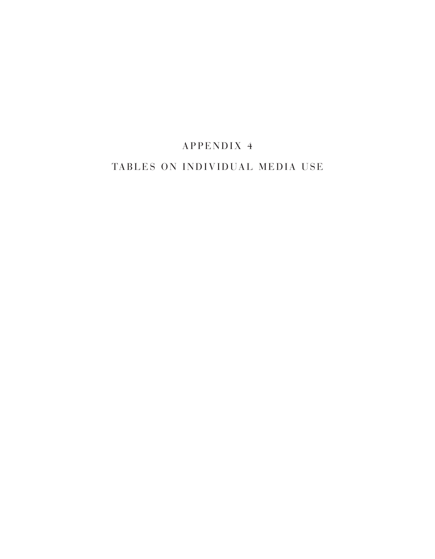# APPENDIX 4

# TABLES ON INDIVIDUAL MEDIA USE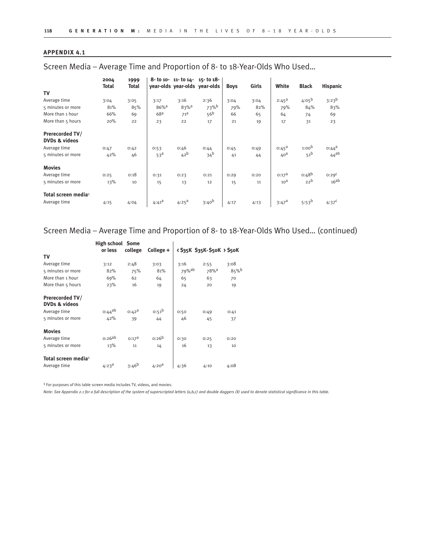Screen Media – Average Time and Proportion of 8- to 18-Year-Olds Who Used…

|                                 | 2004  | 1999  |                    |                    | 8- to 10- 11- to 14- 15- to 18- |             |       |                   |                   |                  |
|---------------------------------|-------|-------|--------------------|--------------------|---------------------------------|-------------|-------|-------------------|-------------------|------------------|
|                                 | Total | Total |                    |                    | vear-olds vear-olds vear-olds   | <b>Boys</b> | Girls | White             | <b>Black</b>      | <b>Hispanic</b>  |
| TV                              |       |       |                    |                    |                                 |             |       |                   |                   |                  |
| Average time                    | 3:04  | 3:05  | 3:17               | 3:16               | 2:36                            | 3:04        | 3:04  | $2:45^{\circ}$    | $4:05^b$          | $3:23^{b}$       |
| 5 minutes or more               | 81%   | 85%   | $86%$ <sup>a</sup> | $83%$ <sup>a</sup> | 73%b                            | 79%         | 82%   | 79%               | 84%               | 83%              |
| More than 1 hour                | 66%   | 69    | 68 <sup>a</sup>    | 71 <sup>d</sup>    | 56 <sup>b</sup>                 | 66          | 65    | 64                | 74                | 69               |
| More than 5 hours               | 20%   | 22    | 23                 | 22                 | 17                              | 21          | 19    | 17                | 31                | 23               |
| Prerecorded TV/                 |       |       |                    |                    |                                 |             |       |                   |                   |                  |
| <b>DVDs &amp; videos</b>        |       |       |                    |                    |                                 |             |       |                   |                   |                  |
| Average time                    | 0:47  | 0:42  | 0:53               | 0:46               | 0:44                            | 0:45        | 0:49  | $0:45^{\text{a}}$ | 1:00 <sup>b</sup> | $0:44^a$         |
| 5 minutes or more               | 42%   | 46    | 53 <sup>a</sup>    | 42 <sup>b</sup>    | 34 <sup>b</sup>                 | 41          | 44    | 40 <sup>d</sup>   | 51 <sup>b</sup>   | $44^{ab}$        |
| <b>Movies</b>                   |       |       |                    |                    |                                 |             |       |                   |                   |                  |
| Average time                    | 0:25  | 0:18  | 0:31               | 0:23               | 0:21                            | 0:29        | 0:20  | 0:17 <sup>d</sup> | $0:48^{b}$        | $0:29^C$         |
| 5 minutes or more               | 13%   | 10    | 15                 | 13                 | 12                              | 15          | 11    | 10 <sup>d</sup>   | 22 <sup>b</sup>   | 16 <sup>ab</sup> |
| Total screen media <sup>1</sup> |       |       |                    |                    |                                 |             |       |                   |                   |                  |
| Average time                    | 4:15  | 4:04  | $4:41^a$           | $4:25^{\text{a}}$  | $3:40^{b}$                      | 4:17        | 4:13  | $3:47^a$          | $5:53^{b}$        | $4:37^C$         |

# Screen Media – Average Time and Proportion of 8- to 18-Year-Olds Who Used… (continued)

|                                                    | <b>High school Some</b> |                   |                   |       |                             |      |
|----------------------------------------------------|-------------------------|-------------------|-------------------|-------|-----------------------------|------|
|                                                    | or less                 | college           | College +         |       | < \$35K \$35K-\$50K > \$50K |      |
| TV                                                 |                         |                   |                   |       |                             |      |
| Average time                                       | 3:12                    | 2:48              | 3:03              | 3:16  | 2:55                        | 3:08 |
| 5 minutes or more                                  | 82%                     | 75%               | 81%               | 79%ab | 78% <sup>a</sup>            | 85%  |
| More than 1 hour                                   | 69%                     | 62                | 64                | 65    | 63                          | 70   |
| More than 5 hours                                  | 23%                     | 16                | 19                | 24    | 20                          | 19   |
| <b>Prerecorded TV/</b><br><b>DVDs &amp; videos</b> |                         |                   |                   |       |                             |      |
| Average time                                       | $0:44^{ab}$             | $0:42^{\text{a}}$ | $0:51^{b}$        | 0:50  | 0:49                        | 0:41 |
| 5 minutes or more                                  | 42%                     | 39                | 44                | 46    | 45                          | 37   |
| <b>Movies</b>                                      |                         |                   |                   |       |                             |      |
| Average time                                       | 0:26ab                  | $0:17^{\text{d}}$ | $0:26^{b}$        | 0:30  | 0:25                        | 0:20 |
| 5 minutes or more                                  | 13%                     | 11                | 14                | 16    | 13                          | 10   |
| Total screen media <sup>1</sup>                    |                         |                   |                   |       |                             |      |
| Average time                                       | $4:23^{d}$              | $3:46^{b}$        | 4:20 <sup>d</sup> | 4:36  | 4:10                        | 4:08 |

1 For purposes of this table screen media includes TV, videos, and movies.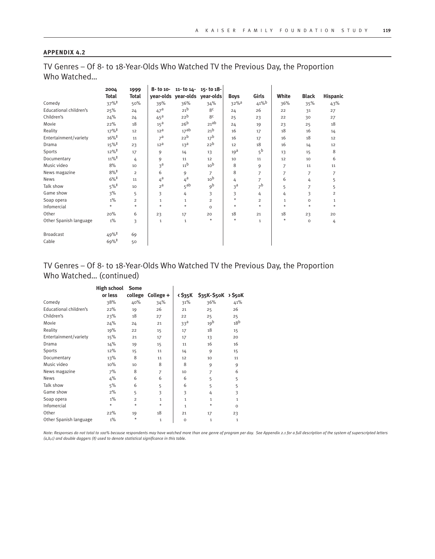TV Genres – Of 8- to 18-Year-Olds Who Watched TV the Previous Day, the Proportion Who Watched…

|                               | 2004                | 1999           |                  | 8- to 10- 11- to 14- 15- to 18- |                 |                     |                |              |                |                 |
|-------------------------------|---------------------|----------------|------------------|---------------------------------|-----------------|---------------------|----------------|--------------|----------------|-----------------|
|                               | Total               | <b>Total</b>   |                  | year-olds year-olds year-olds   |                 | <b>Boys</b>         | Girls          | White        | <b>Black</b>   | <b>Hispanic</b> |
| Comedy                        | $37\%$ <sup>‡</sup> | 50%            | 39%              | 36%                             | 34%             | $32\%$ <sup>a</sup> | 41%b           | 36%          | 35%            | 43%             |
| <b>Educational children's</b> | 25%                 | 24             | 47 <sup>a</sup>  | 21 <sup>b</sup>                 | 8 <sup>c</sup>  | 24                  | 26             | 22           | 31             | 27              |
| Children's                    | 24%                 | 24             | $45^{\text{a}}$  | 22 <sup>b</sup>                 | 8c              | 25                  | 23             | 22           | 30             | 27              |
| Movie                         | 22%                 | 18             | 15 <sup>a</sup>  | 26 <sup>b</sup>                 | 21ab            | 24                  | 19             | 23           | 25             | 18              |
| Reality                       | $17\%$ <sup>‡</sup> | 12             | 12 <sup>a</sup>  | $17^{ab}$                       | 21 <sup>b</sup> | 16                  | 17             | 18           | 16             | 14              |
| Entertainment/variety         | $16\%$ <sup>‡</sup> | 11             | $7^{\mathrm{a}}$ | 22 <sup>b</sup>                 | 17 <sup>b</sup> | 16                  | 17             | 16           | 18             | 12              |
| Drama                         | $15\%$ <sup>‡</sup> | 23             | 12 <sup>a</sup>  | 13 <sup>d</sup>                 | 22 <sup>b</sup> | 12                  | 18             | 16           | 14             | 12              |
| Sports                        | $12\%$ <sup>‡</sup> | 17             | 9                | 14                              | 13              | 19 <sup>d</sup>     | 5 <sup>b</sup> | 13           | 15             | 8               |
| Documentary                   | $11\%$ <sup>‡</sup> | 4              | 9                | 11                              | 12              | 10                  | 11             | 12           | 10             | 6               |
| Music video                   | 8%                  | 10             | 3 <sup>a</sup>   | 11 <sup>b</sup>                 | 10 <sup>b</sup> | 8                   | 9              | 7            | 11             | 11              |
| News magazine                 | $8\%$ <sup>‡</sup>  | $\overline{2}$ | 6                | 9                               | $\overline{7}$  | 8                   | $\overline{7}$ | 7            | $\overline{7}$ | 7               |
| <b>News</b>                   | $6\%$ <sup>‡</sup>  | 11             | 4 <sup>a</sup>   | $4^a$                           | 10 <sup>b</sup> | 4                   | 7              | 6            | 4              | 5               |
| Talk show                     | $5\%^{\ddagger}$    | 10             | $2^{\mathsf{a}}$ | 5 <sup>ab</sup>                 | <sub>q</sub> b  | 3 <sup>a</sup>      | 7 <sup>b</sup> | 5            | $\overline{7}$ | 5               |
| Game show                     | 3%                  | 5              | 3                | 4                               | 3               | 3                   | 4              | 4            | 3              | $\overline{2}$  |
| Soap opera                    | $1\%$               | $\overline{2}$ | $\mathbf{1}$     | $\mathbf{1}$                    | 2               | $\star$             | $\overline{2}$ | $\mathbf{1}$ | $\circ$        | 1               |
| Infomercial                   | $\star$             | $\star$        | $\star$          | $\star$                         | $\Omega$        | $\star$             | $\star$        | $\star$      | $\star$        | $\star$         |
| Other                         | 20%                 | 6              | 23               | 17                              | 20              | 18                  | 21             | 18           | 23             | 20              |
| Other Spanish language        | $1\%$               | 3              | $\mathbf{1}$     | $\mathbf{1}$                    | $\star$         | $\star$             | $\mathbf{1}$   | $^{\star}$   | $\circ$        | 4               |
| <b>Broadcast</b>              | $49\%$ <sup>‡</sup> | 69             |                  |                                 |                 |                     |                |              |                |                 |
| Cable                         | $69\%$ <sup>‡</sup> | 50             |                  |                                 |                 |                     |                |              |                |                 |

# TV Genres – Of 8- to 18-Year-Olds Who Watched TV the Previous Day, the Proportion Who Watched… (continued)

|                        | High school | <b>Some</b>    |              |                 |                           |                 |
|------------------------|-------------|----------------|--------------|-----------------|---------------------------|-----------------|
|                        | or less     | college        | College +    |                 | <535K \$35K-\$50K > \$50K |                 |
| Comedy                 | 38%         | 40%            | 34%          | 31%             | 36%                       | 41%             |
| Educational children's | 22%         | 19             | 26           | 21              | 25                        | 26              |
| Children's             | 23%         | 18             | 27           | 22              | 25                        | 25              |
| Movie                  | 24%         | 24             | 21           | 33 <sup>a</sup> | 19 <sup>b</sup>           | 18 <sup>b</sup> |
| Reality                | 19%         | 22             | 15           | 17              | 18                        | 15              |
| Entertainment/variety  | 15%         | 21             | 17           | 17              | 13                        | 20              |
| Drama                  | 14%         | 19             | 15           | 11              | 16                        | 16              |
| Sports                 | 12%         | 15             | 11           | 14              | 9                         | 15              |
| Documentary            | 13%         | 8              | 11           | 12              | 10                        | 11              |
| Music video            | 10%         | 10             | 8            | 8               | 9                         | 9               |
| News magazine          | 7%          | 8              | 7            | 10              | 7                         | 6               |
| <b>News</b>            | 4%          | 6              | 6            | 6               | 5                         | 5               |
| Talk show              | 5%          | 6              | 5            | 6               | 5                         | 5               |
| Game show              | 2%          | 5              | 3            | 3               | 4                         | 3               |
| Soap opera             | $1\%$       | $\overline{2}$ | $\mathbf{1}$ | $\mathbf{1}$    | $\mathbf{1}$              | $\mathbf{1}$    |
| Infomercial            | *           | *              | $\star$      | $\mathbf{1}$    | $^{\star}$                | $\Omega$        |
| Other                  | 22%         | 19             | 18           | 21              | 17                        | 23              |
| Other Spanish language | $1\%$       | *              | $\mathbf{1}$ | $\circ$         | $\mathbf{1}$              | $\mathbf{1}$    |

*Note: Responses do not total to 100% because respondents may have watched more than one genre of program per day. See Appendix 2.1 for a full description of the system of superscripted letters (a,b,c) and double daggers (‡) used to denote statistical significance in this table.*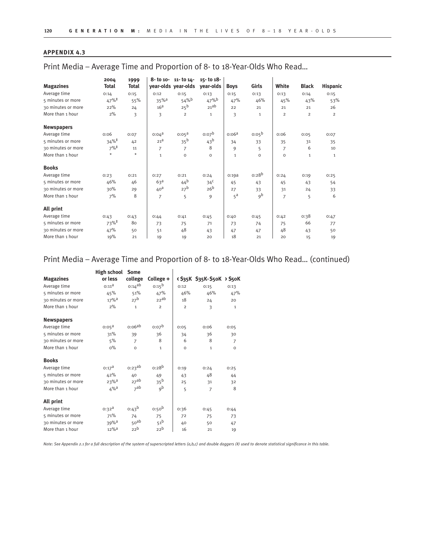|                    | 2004                | 1999         |                    | 8-to 10-11-to 14-   | 15-to 18-       |                   |                |                |                |                 |
|--------------------|---------------------|--------------|--------------------|---------------------|-----------------|-------------------|----------------|----------------|----------------|-----------------|
| <b>Magazines</b>   | Total               | <b>Total</b> |                    | year-olds year-olds | year-olds       | <b>Boys</b>       | Girls          | White          | <b>Black</b>   | <b>Hispanic</b> |
| Average time       | 0:14                | 0:15         | 0:12               | 0:15                | 0:13            | 0:15              | 0:13           | 0:13           | 0:14           | 0:15            |
| 5 minutes or more  | $47\%$ <sup>#</sup> | 55%          | $35%$ <sup>a</sup> | $54%^{b}$           | 47%             | 47%               | 46%            | 45%            | 43%            | 53%             |
| 30 minutes or more | 22%                 | 24           | 16 <sup>a</sup>    | 25 <sup>b</sup>     | 21ab            | 22                | 21             | 21             | 21             | 26              |
| More than 1 hour   | 2%                  | 3            | 3                  | $\overline{2}$      | $\mathbf{1}$    | 3                 | $\mathbf{1}$   | $\overline{2}$ | $\overline{2}$ | $\overline{2}$  |
| <b>Newspapers</b>  |                     |              |                    |                     |                 |                   |                |                |                |                 |
| Average time       | 0:06                | 0:07         | $0:04^{\text{a}}$  | $0:05^{\text{a}}$   | $0:07^b$        | 0:06 <sup>a</sup> | $0:05^b$       | 0:06           | 0:05           | 0:07            |
| 5 minutes or more  | $34\%$ <sup>‡</sup> | 42           | 21 <sup>a</sup>    | 35 <sup>b</sup>     | 43 <sup>b</sup> | 34                | 33             | 35             | 31             | 35              |
| 30 minutes or more | $7\%$ <sup>‡</sup>  | 11           | $\overline{7}$     | $\overline{7}$      | 8               | 9                 | 5              | $\overline{7}$ | 6              | 10              |
| More than 1 hour   | $\star$             | $\star$      | $\mathbf{1}$       | $\circ$             | $\circ$         | $\mathbf{1}$      | $\circ$        | $\circ$        | $\mathbf{1}$   | $\mathbf{1}$    |
| <b>Books</b>       |                     |              |                    |                     |                 |                   |                |                |                |                 |
| Average time       | 0:23                | 0:21         | 0:27               | 0:21                | 0:24            | 0:19a             | $0:28^{b}$     | 0:24           | 0:19           | 0:25            |
| 5 minutes or more  | 46%                 | 46           | 63 <sup>a</sup>    | 44 <sup>b</sup>     | 34 <sup>c</sup> | 45                | 43             | 45             | 43             | 54              |
| 30 minutes or more | 30%                 | 29           | 40 <sup>d</sup>    | 27 <sup>b</sup>     | 26 <sup>b</sup> | 27                | 33             | 31             | 24             | 33              |
| More than 1 hour   | 7%                  | 8            | $\overline{7}$     | 5                   | 9               | $5^a$             | <sub>q</sub> b | $\overline{7}$ | 5              | 6               |
| All print          |                     |              |                    |                     |                 |                   |                |                |                |                 |
| Average time       | 0:43                | 0:43         | 0:44               | 0:41                | 0:45            | 0:40              | 0:45           | 0:42           | 0:38           | 0:47            |
| 5 minutes or more  | $73\%$ <sup>‡</sup> | 80           | 73                 | 75                  | 71              | 73                | 74             | 75             | 66             | 77              |
| 30 minutes or more | 47%                 | 50           | 51                 | 48                  | 43              | 47                | 47             | 48             | 43             | 50              |
| More than 1 hour   | 19%                 | 21           | 19                 | 19                  | 20              | 18                | 21             | 20             | 15             | 19              |

Print Media – Average Time and Proportion of 8- to 18-Year-Olds Who Read…

# Print Media – Average Time and Proportion of 8- to 18-Year-Olds Who Read… (continued)

|                    | High school           | Some             |                   |                |                           |                |
|--------------------|-----------------------|------------------|-------------------|----------------|---------------------------|----------------|
| <b>Magazines</b>   | or less               | college          | College +         |                | <535K \$35K-\$50K > \$50K |                |
| Average time       | $0:11^a$              | $0:14^{ab}$      | $0:15^{b}$        | 0:12           | 0:15                      | 0:13           |
| 5 minutes or more  | 45%                   | 51%              | 47%               | 46%            | 46%                       | 47%            |
| 30 minutes or more | $17\%$ <sup>a</sup>   | 27 <sup>b</sup>  | 22ab              | 18             | 24                        | 20             |
| More than 1 hour   | 2%                    | $\mathbf{1}$     | $\overline{2}$    | $\overline{2}$ | $\overline{\mathbf{3}}$   | $\mathbf{1}$   |
| <b>Newspapers</b>  |                       |                  |                   |                |                           |                |
| Average time       | $0:05^{\text{a}}$     | 0:06ab           | 0:07 <sup>b</sup> | 0:05           | 0:06                      | 0:05           |
| 5 minutes or more  | 31%                   | 39               | 36                | 34             | 36                        | 30             |
| 30 minutes or more | 5%                    | $\overline{7}$   | 8                 | 6              | 8                         | $\overline{7}$ |
| More than 1 hour   | $0\%$                 | $\circ$          | $\mathbf{1}$      | $\circ$        | $\mathbf{1}$              | $\circ$        |
| <b>Books</b>       |                       |                  |                   |                |                           |                |
| Average time       | $0:17^{\text{a}}$     | $0:23^{ab}$      | $0:28^{b}$        | 0:19           | 0:24                      | 0:25           |
| 5 minutes or more  | 42%                   | 40               | 49                | 43             | 48                        | 44             |
| 30 minutes or more | $23%$ <sup>a</sup>    | 27 <sup>ab</sup> | 35 <sup>b</sup>   | 25             | 31                        | 32             |
| More than 1 hour   | $4\%$ <sup>a</sup>    | 7ab              | <sub>q</sub> b    | 5              | $\overline{7}$            | 8              |
| All print          |                       |                  |                   |                |                           |                |
| Average time       | $0:32^{\overline{a}}$ | $0:43^{b}$       | 0:50 <sup>b</sup> | 0:36           | 0:45                      | 0:44           |
| 5 minutes or more  | 71%                   | 74               | 75                | 72             | 75                        | 73             |
| 30 minutes or more | 39% <sup>a</sup>      | 50 <sup>ab</sup> | 51 <sup>b</sup>   | 40             | 50                        | 47             |
| More than 1 hour   | $12\%$ <sup>a</sup>   | 22 <sup>b</sup>  | 22 <sup>b</sup>   | 16             | 21                        | 19             |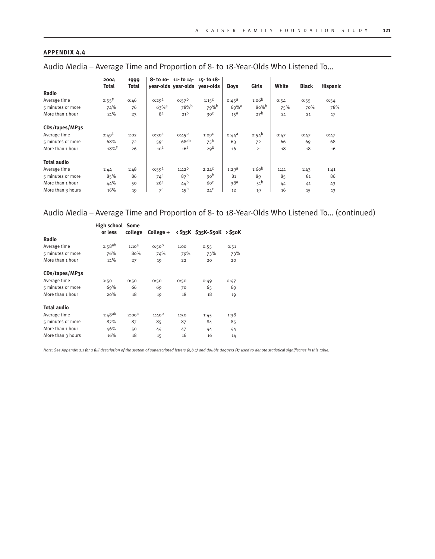|                    | 2004<br><b>Total</b> | 1999<br><b>Total</b> |                    |                 | 8-to 10-11-to 14-15-to 18-<br>year-olds year-olds year-olds | <b>Boys</b>        | Girls              | White | <b>Black</b> | <b>Hispanic</b> |
|--------------------|----------------------|----------------------|--------------------|-----------------|-------------------------------------------------------------|--------------------|--------------------|-------|--------------|-----------------|
| Radio              |                      |                      |                    |                 |                                                             |                    |                    |       |              |                 |
| Average time       | $0:55^{\ddagger}$    | 0:46                 | $0:29^{\text{d}}$  | $0:57^b$        | $1:15^{C}$                                                  | $0:45^{\text{a}}$  | 1:06 <sup>b</sup>  | 0:54  | 0:55         | 0:54            |
| 5 minutes or more  | 74%                  | 76                   | $63%$ <sup>a</sup> | 78%b            | 79%b                                                        | $69%$ <sup>a</sup> | $80%$ <sup>b</sup> | 75%   | 70%          | 78%             |
| More than 1 hour   | 21%                  | 23                   | ga                 | 21 <sup>b</sup> | 30 <sup>c</sup>                                             | 15 <sup>a</sup>    | 27 <sup>b</sup>    | 21    | 21           | 17              |
| CDs/tapes/MP3s     |                      |                      |                    |                 |                                                             |                    |                    |       |              |                 |
| Average time       | $0:49^{\ddagger}$    | 1:02                 | $0:30^{d}$         | $0:45^{b}$      | 1:09 <sup>C</sup>                                           | $0:44^{\text{a}}$  | $0:54^{b}$         | 0:47  | 0:47         | 0:47            |
| 5 minutes or more  | 68%                  | 72                   | 59 <sup>a</sup>    | 68ab            | 75 <sup>b</sup>                                             | 63                 | 72                 | 66    | 69           | 68              |
| More than 1 hour   | $18\%$ <sup>‡</sup>  | 26                   | 10 <sup>d</sup>    | 16 <sup>a</sup> | 29 <sup>b</sup>                                             | 16                 | 21                 | 18    | 18           | 16              |
| <b>Total audio</b> |                      |                      |                    |                 |                                                             |                    |                    |       |              |                 |
| Average time       | 1:44                 | 1:48                 | $0:59^{\text{a}}$  | $1:42^{b}$      | $2:24^C$                                                    | $1:29^{a}$         | 1:60 <sup>b</sup>  | 1:41  | 1:43         | 1:41            |
| 5 minutes or more  | 85%                  | 86                   | $74^{\mathrm{a}}$  | 87 <sup>b</sup> | 90 <sup>b</sup>                                             | 81                 | 89                 | 85    | 81           | 86              |
| More than 1 hour   | 44%                  | 50                   | 26 <sup>a</sup>    | 44 <sup>b</sup> | 60 <sup>C</sup>                                             | 38a                | 51 <sup>b</sup>    | 44    | 41           | 43              |
| More than 3 hours  | 16%                  | 19                   | 7 <sup>a</sup>     | 15 <sup>b</sup> | 24 <sup>C</sup>                                             | 12                 | 19                 | 16    | 15           | 13              |

# Audio Media – Average Time and Proportion of 8- to 18-Year-Olds Who Listened To…

# Audio Media – Average Time and Proportion of 8- to 18-Year-Olds Who Listened To… (continued)

|                    | <b>High school Some</b><br>or less | college           | $Collect +$       |      | <s35k s35k-s50k="">S50K</s35k> |      |
|--------------------|------------------------------------|-------------------|-------------------|------|--------------------------------|------|
| Radio              |                                    |                   |                   |      |                                |      |
| Average time       | 0.58ab                             | $1:10^{a}$        | 0:50 <sup>b</sup> | 1:00 | 0:55                           | 0:51 |
| 5 minutes or more  | 76%                                | 80%               | 74%               | 79%  | 73%                            | 73%  |
| More than 1 hour   | 21%                                | 27                | 19                | 22   | 20                             | 20   |
| CDs/tapes/MP3s     |                                    |                   |                   |      |                                |      |
| Average time       | 0:50                               | 0:50              | 0:50              | 0:50 | 0:49                           | 0:47 |
| 5 minutes or more  | 69%                                | 66                | 69                | 70   | 65                             | 69   |
| More than 1 hour   | 20%                                | 18                | 19                | 18   | 18                             | 19   |
| <b>Total audio</b> |                                    |                   |                   |      |                                |      |
| Average time       | 1:48ab                             | 2:00 <sup>d</sup> | $1:40^{b}$        | 1:50 | 1:45                           | 1:38 |
| 5 minutes or more  | 87%                                | 87                | 85                | 87   | 84                             | 85   |
| More than 1 hour   | 46%                                | 50                | 44                | 47   | 44                             | 44   |
| More than 3 hours  | 16%                                | 18                | 15                | 16   | 16                             | 14   |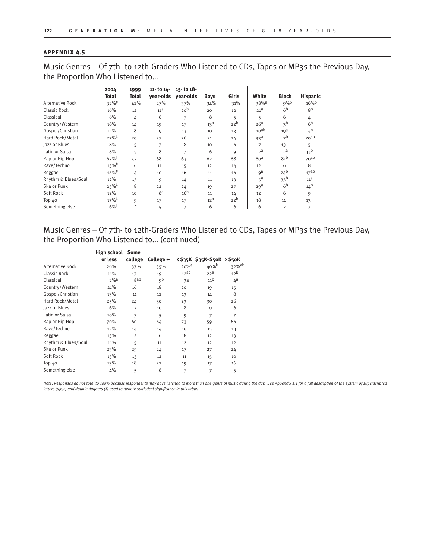Music Genres – Of 7th- to 12th-Graders Who Listened to CDs, Tapes or MP3s the Previous Day, the Proportion Who Listened to…

|                         | 2004<br>Total       | 1999<br>Total | 11- to 14-<br>year-olds | 15-to 18-<br>year-olds | <b>Boys</b>     | Girls           | White              | <b>Black</b>     | <b>Hispanic</b>  |
|-------------------------|---------------------|---------------|-------------------------|------------------------|-----------------|-----------------|--------------------|------------------|------------------|
| <b>Alternative Rock</b> | $32\%$ <sup>‡</sup> | 42%           | 27%                     | 37%                    | 34%             | 31%             | $38%$ <sup>a</sup> | 9%               | 16%              |
| Classic Rock            | 16%                 | 12            | 11 <sup>d</sup>         | 20 <sup>b</sup>        | 20              | 12              | 21 <sup>a</sup>    | 6 <sup>b</sup>   | 8 <sup>b</sup>   |
| Classical               | 6%                  | 4             | 6                       | 7                      | 8               | 5               | 5                  | 6                | 4                |
| Country/Western         | 18%                 | 14            | 19                      | 17                     | 13 <sup>d</sup> | 22 <sup>b</sup> | 26 <sup>a</sup>    | 3 <sup>b</sup>   | 6 <sup>b</sup>   |
| Gospel/Christian        | 11%                 | 8             | 9                       | 13                     | 10              | 13              | 10 <sup>ab</sup>   | 19 <sup>d</sup>  | 4 <sup>b</sup>   |
| Hard Rock/Metal         | $27\%$ <sup>‡</sup> | 20            | 27                      | 26                     | 31              | 24              | 33 <sup>a</sup>    | 7 <sup>b</sup>   | 20 <sup>ab</sup> |
| lazz or Blues           | 8%                  | 5             | $\overline{7}$          | 8                      | 10              | 6               | $\overline{7}$     | 13               | 5                |
| Latin or Salsa          | 8%                  | 5             | 8                       | 7                      | 6               | 9               | $2^a$              | $2^{\mathsf{a}}$ | 33 <sup>b</sup>  |
| Rap or Hip Hop          | $65\%$ <sup>‡</sup> | 52            | 68                      | 63                     | 62              | 68              | 60 <sup>a</sup>    | 81 <sup>b</sup>  | 70 <sup>ab</sup> |
| Rave/Techno             | $13\%$ <sup>‡</sup> | 6             | 11                      | 15                     | 12              | 14              | 12                 | 6                | 8                |
| Reggae                  | $14\%$ <sup>‡</sup> | 4             | 10                      | 16                     | 11              | 16              | $q^a$              | $24^{b}$         | 17 <sup>ab</sup> |
| Rhythm & Blues/Soul     | 12%                 | 13            | 9                       | 14                     | 11              | 13              | $5^a$              | 33 <sup>b</sup>  | 11 <sup>d</sup>  |
| Ska or Punk             | $23\%$ <sup>‡</sup> | 8             | 22                      | 24                     | 19              | 27              | 29 <sup>d</sup>    | 6 <sup>b</sup>   | $14^{b}$         |
| Soft Rock               | 12%                 | 10            | ga                      | 16 <sup>b</sup>        | 11              | 14              | 12                 | 6                | 9                |
| Top 40                  | $17\%$ <sup>‡</sup> | 9             | 17                      | 17                     | 12 <sup>d</sup> | 22 <sup>b</sup> | 18                 | 11               | 13               |
| Something else          | $6\%$ <sup>‡</sup>  | $\star$       | 5                       | 7                      | 6               | 6               | 6                  | $\overline{2}$   | 7                |

Music Genres – Of 7th- to 12th-Graders Who Listened to CDs, Tapes or MP3s the Previous Day, the Proportion Who Listened to… (continued)

|                         | High school       | Some           |                |                    |                             |                 |
|-------------------------|-------------------|----------------|----------------|--------------------|-----------------------------|-----------------|
|                         | or less           | college        | College +      |                    | < \$35K \$35K-\$50K > \$50K |                 |
| <b>Alternative Rock</b> | 26%               | 37%            | 35%            | $20%$ <sup>a</sup> | 40%b                        | $32%$ ab        |
| Classic Rock            | 11%               | 17             | 19             | 12ab               | 22 <sup>a</sup>             | 12 <sup>b</sup> |
| Classical               | $2%$ <sup>a</sup> | gab            | 9 <sub>b</sub> | зa                 | 11 <sup>b</sup>             | $4^a$           |
| Country/Western         | 21%               | 16             | 18             | 20                 | 19                          | 15              |
| Gospel/Christian        | 13%               | 11             | 12             | 13                 | 14                          | 8               |
| Hard Rock/Metal         | 25%               | 24             | 30             | 23                 | 30                          | 26              |
| Jazz or Blues           | 6%                | $\overline{7}$ | 10             | 8                  | 9                           | 6               |
| Latin or Salsa          | 10%               | $\overline{7}$ | 5              | 9                  | $\overline{7}$              | $\overline{7}$  |
| Rap or Hip Hop          | 70%               | 60             | 64             | 73                 | 59                          | 66              |
| Rave/Techno             | 12%               | 14             | 14             | 10                 | 15                          | 13              |
| Reggae                  | 13%               | 12             | 16             | 18                 | 12                          | 13              |
| Rhythm & Blues/Soul     | 11%               | 15             | 11             | 12                 | 12                          | 12              |
| Ska or Punk             | 23%               | 25             | 24             | 17                 | 27                          | 24              |
| Soft Rock               | 13%               | 13             | 12             | 11                 | 15                          | 10              |
| Top 40                  | 13%               | 18             | 22             | 19                 | 17                          | 16              |
| Something else          | 4%                | 5              | 8              | $\overline{7}$     | 7                           | 5               |

*Note: Responses do not total to 100% because respondents may have listened to more than one genre of music during the day. See Appendix 2.1 for a full description of the system of superscripted letters (a,b,c) and double daggers (‡) used to denote statistical significance in this table.*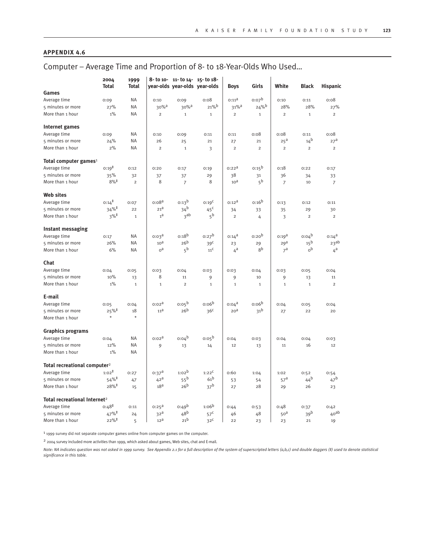Computer – Average Time and Proportion of 8- to 18-Year-Olds Who Used…

|                                          | 2004                | 1999                    |                    | 8- to 10- 11- to 14- 15- to 18- |                   |                    |                   |                         |                         |                          |
|------------------------------------------|---------------------|-------------------------|--------------------|---------------------------------|-------------------|--------------------|-------------------|-------------------------|-------------------------|--------------------------|
|                                          | <b>Total</b>        | <b>Total</b>            |                    | year-olds year-olds year-olds   |                   | <b>Boys</b>        | Girls             | White                   | <b>Black</b>            | <b>Hispanic</b>          |
| Games                                    |                     |                         |                    |                                 |                   |                    |                   |                         |                         |                          |
| Average time                             | 0:09                | <b>NA</b>               | 0:10               | 0:09                            | 0:08              | $0:11^{d}$         | 0:07 <sup>b</sup> | 0:10                    | 0:11                    | 0:08                     |
| 5 minutes or more                        | 27%                 | NA                      | $30%$ <sup>a</sup> | $30%$ <sup>a</sup>              | 21%               | $31%$ <sup>a</sup> | 24%               | 28%                     | 28%                     | 27%                      |
| More than 1 hour                         | $1\%$               | <b>NA</b>               | $\overline{c}$     | $\mathbf 1$                     | $\mathbf 1$       | $\overline{c}$     | $\,1\,$           | $\overline{c}$          | $\mathbf 1$             | $\overline{c}$           |
| <b>Internet games</b>                    |                     |                         |                    |                                 |                   |                    |                   |                         |                         |                          |
| Average time                             | 0:09                | <b>NA</b>               | 0:10               | 0:09                            | 0:11              | 0:11               | 0:08              | 0:08                    | 0:11                    | 0:08                     |
| 5 minutes or more                        | 24%                 | <b>NA</b>               | 26                 | 25                              | 21                | 27                 | 21                | 25 <sup>a</sup>         | 14 <sup>b</sup>         | 27 <sup>a</sup>          |
| More than 1 hour                         | 2%                  | <b>NA</b>               | $\overline{2}$     | $\mathbf{1}$                    | 3                 | $\overline{2}$     | $\overline{2}$    | $\overline{c}$          | $\overline{2}$          | $\overline{2}$           |
| Total computer games <sup>1</sup>        |                     |                         |                    |                                 |                   |                    |                   |                         |                         |                          |
| Average time                             | $0:19^{1}$          | 0:12                    | 0:20               | 0:17                            | 0:19              | $0:22^{a}$         | $0:15^{b}$        | 0:18                    | 0:22                    | 0:17                     |
| 5 minutes or more                        | 35%                 | 32                      | 37                 | 37                              | 29                | 38                 | 31                | 36                      | 34                      | 33                       |
| More than 1 hour                         | $8\%$ <sup>‡</sup>  | $\overline{\mathbf{c}}$ | 8                  | $\overline{7}$                  | 8                 | 10 <sup>d</sup>    | 5 <sup>b</sup>    | $\overline{7}$          | 10                      | $\overline{7}$           |
| <b>Web sites</b>                         |                     |                         |                    |                                 |                   |                    |                   |                         |                         |                          |
| Average time                             | $0:14^{\ddagger}$   | 0:07                    | 0:08 <sup>a</sup>  | $0:13^{b}$                      | $0:19^{C}$        | $0:12^{a}$         | $0:16^{b}$        | 0:13                    | 0:12                    | 0:11                     |
| 5 minutes or more                        | $34\%$ <sup>‡</sup> | 22                      | 21 <sup>d</sup>    | 34 <sup>b</sup>                 | $45^{\rm C}$      | 34                 | 33                | 35                      | 29                      | 30                       |
| More than 1 hour                         | $3\%$ <sup>‡</sup>  | $\mathbf 1$             | 1 <sup>a</sup>     | 3 <sup>ab</sup>                 | 5 <sup>b</sup>    | $\overline{c}$     | 4                 | 3                       | $\overline{c}$          | $\overline{c}$           |
| Instant messaging                        |                     |                         |                    |                                 |                   |                    |                   |                         |                         |                          |
| Average time                             | 0:17                | <b>NA</b>               | 0:03 <sup>d</sup>  | $0:18^{b}$                      | $0:27^{b}$        | $0:14^{a}$         | 0:20 <sup>b</sup> | $0:19^{a}$              | $0:04^b$                | $0:14^{\text{a}}$        |
| 5 minutes or more                        | 26%                 | <b>NA</b>               | 10 <sup>d</sup>    | 26 <sup>b</sup>                 | 39 <sup>c</sup>   | 23                 | 29                | 29 <sup>a</sup>         | 15 <sup>b</sup>         | $23^{ab}$                |
| More than 1 hour                         | 6%                  | <b>NA</b>               | $o^a$              | 5 <sup>b</sup>                  | $11^C$            | 4 <sup>a</sup>     | 8 <sub>p</sub>    | $7^{\mathrm{a}}$        | o <sup>b</sup>          | $4^a$                    |
| Chat                                     |                     |                         |                    |                                 |                   |                    |                   |                         |                         |                          |
| Average time                             | 0:04                | 0:05                    | 0:03               | 0:04                            | 0:03              | 0:03               | 0:04              | 0:03                    | 0:05                    | 0:04                     |
| 5 minutes or more                        | 10%                 | 13                      | 8                  | 11                              | 9                 | 9                  | 10                | 9                       | 13                      | 11                       |
| More than 1 hour                         | $1\%$               | $\,1\,$                 | $\mathbf 1$        | $\overline{c}$                  | $\mathbf 1$       | $\mathbf 1$        | $\mathbf 1$       | $\mathbf 1$             | $\,1\,$                 | $\overline{c}$           |
| E-mail                                   |                     |                         |                    |                                 |                   |                    |                   |                         |                         |                          |
| Average time                             | 0:05                | 0:04                    | 0:02 <sup>a</sup>  | $0:05^b$                        | 0:06 <sup>b</sup> | $0:04^{\text{a}}$  | 0:06 <sup>b</sup> | 0:04                    | 0:05                    | 0:04                     |
| 5 minutes or more                        | $25%$ <sup>‡</sup>  | 18                      | 11 <sup>d</sup>    | 26 <sup>b</sup>                 | 36 <sup>c</sup>   | 20 <sup>d</sup>    | 31 <sup>b</sup>   | 27                      | 22                      | 20                       |
| More than 1 hour                         | $\star$             | $\star$                 |                    |                                 |                   |                    |                   |                         |                         |                          |
| <b>Graphics programs</b>                 |                     |                         |                    |                                 |                   |                    |                   |                         |                         |                          |
| Average time                             | 0:04                | NA                      | 0:02 <sup>a</sup>  | $0:04^b$                        | $0:05^b$          | 0:04               | 0:03              | 0:04                    | 0:04                    | 0:03                     |
| 5 minutes or more                        | 12%                 | <b>NA</b>               | 9                  | 13                              | 14                | 12                 | 13                | 11                      | 16                      | 12                       |
| More than 1 hour                         | $1\%$               | <b>NA</b>               |                    |                                 |                   |                    |                   |                         |                         |                          |
| Total recreational computer <sup>2</sup> |                     |                         |                    |                                 |                   |                    |                   |                         |                         |                          |
| Average time                             | $1:02^{\ddagger}$   | 0:27                    | 0:37 <sup>d</sup>  | $1:02^{b}$                      | $1:22^{C}$        | 0:60               | 1:04              | 1:02                    | 0:52                    | 0:54                     |
| 5 minutes or more                        | $54\%$ <sup>#</sup> | 47                      | 42 <sup>a</sup>    | 55 <sup>b</sup>                 | 61 <sup>b</sup>   | 53                 | 54                | 57 <sup>a</sup>         | 44 <sup>b</sup>         | 47 <sup>b</sup>          |
| More than 1 hour                         | $28\%$ <sup>‡</sup> | 15                      | 18 <sup>a</sup>    | 26 <sup>b</sup>                 | 37 <sup>b</sup>   | 27                 | 28                | 29                      | 26                      | 23                       |
| Total recreational Internet <sup>2</sup> |                     |                         |                    |                                 |                   |                    |                   |                         |                         |                          |
| Average time                             | $0:48^{\ddagger}$   | 0:11                    | $0:25^{\text{a}}$  | $0:49^{b}$                      | $1:06^{b}$        |                    |                   |                         |                         |                          |
| 5 minutes or more                        | $47\%$ <sup>#</sup> | 24                      | 32 <sup>a</sup>    | 48 <sup>b</sup>                 | 57 <sup>c</sup>   | 0:44<br>46         | 0:53<br>48        | 0:48<br>50 <sup>d</sup> | 0:37<br>39 <sup>b</sup> | 0:42<br>40 <sup>ab</sup> |
| More than 1 hour                         | $22\%$ <sup>‡</sup> | 5                       | 12 <sup>a</sup>    | 21 <sup>b</sup>                 | $32^C$            | 22                 | 23                | 23                      | 21                      | 19                       |
|                                          |                     |                         |                    |                                 |                   |                    |                   |                         |                         |                          |

 $^{\rm 1}$  1999 survey did not separate computer games online from computer games on the computer.

2 2004 survey included more activities than 1999, which asked about games, Web sites, chat and E-mail.

*Note: NA indicates question was not asked in 1999 survey. See Appendix 2.1 for a full description of the system of superscripted letters (a,b,c) and double daggers (#) used to denote statistical significance in this table.*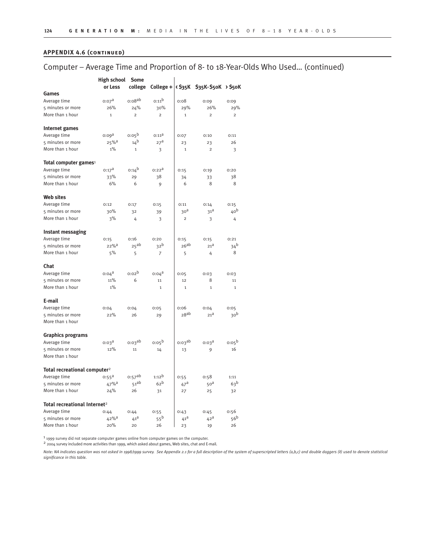### **APPENDIX 4.6 (continued)**

# Computer – Average Time and Proportion of 8- to 18-Year-Olds Who Used… (continued)

|                                          | <b>High school</b>  | Some                    |                 |                    |                                               |                 |
|------------------------------------------|---------------------|-------------------------|-----------------|--------------------|-----------------------------------------------|-----------------|
|                                          | or Less             | college                 |                 |                    | College + $\vert$ < \$35K \$35K-\$50K > \$50K |                 |
| Games                                    |                     |                         |                 |                    |                                               |                 |
| Average time                             | 0:07 <sup>d</sup>   | 0:08ab                  | $0:11^{b}$      | 0:08               | 0:09                                          | 0:09            |
| 5 minutes or more                        | 26%                 | 24%                     | 30%             | 29%                | 26%                                           | 29%             |
| More than 1 hour                         | $\mathbf{1}$        | $\overline{\mathbf{c}}$ | $\overline{c}$  | $\mathbf 1$        | $\overline{2}$                                | $\overline{c}$  |
|                                          |                     |                         |                 |                    |                                               |                 |
| Internet games                           |                     |                         |                 |                    |                                               |                 |
| Average time                             | $0:09^a$            | $0:05^b$                | $0:11^a$        | 0:07               | 0:10                                          | 0:11            |
| 5 minutes or more                        | $25%$ <sup>a</sup>  | 14 <sup>b</sup>         | 27 <sup>a</sup> | 23                 | 23                                            | 26              |
| More than 1 hour                         | $1\%$               | $\mathbf{1}$            | 3               | $\mathbf{1}$       | $\overline{2}$                                | 3               |
|                                          |                     |                         |                 |                    |                                               |                 |
| Total computer games <sup>1</sup>        |                     |                         |                 |                    |                                               |                 |
| Average time                             | $0:17^{\text{a}}$   | $0:14^{b}$              | $0:22^{d}$      | 0:15               | 0:19                                          | 0:20            |
| 5 minutes or more                        | 33%                 | 29                      | 38              | 34                 | 33                                            | 38              |
| More than 1 hour                         | 6%                  | 6                       | 9               | 6                  | 8                                             | 8               |
|                                          |                     |                         |                 |                    |                                               |                 |
| <b>Web sites</b>                         |                     |                         |                 |                    |                                               |                 |
| Average time                             | 0:12                | 0:17                    | 0:15            | 0:11               | 0:14                                          | 0:15            |
| 5 minutes or more                        | 30%                 | 32                      | 39              | 30 <sup>d</sup>    | 31 <sup>d</sup>                               | 40 <sup>b</sup> |
| More than 1 hour                         | 3%                  | 4                       | 3               | 2                  | 3                                             | 4               |
|                                          |                     |                         |                 |                    |                                               |                 |
| Instant messaging                        |                     |                         |                 |                    |                                               |                 |
| Average time                             | 0:15                | 0:16                    | 0:20            | 0:15               | 0:15                                          | 0:21            |
| 5 minutes or more                        | $22%$ <sup>a</sup>  | $25^{ab}$               | 32 <sup>b</sup> | 26ab               | 21 <sup>d</sup>                               | 34 <sup>b</sup> |
| More than 1 hour                         | 5%                  | 5                       | $\overline{7}$  | 5                  | 4                                             | 8               |
|                                          |                     |                         |                 |                    |                                               |                 |
| Chat                                     |                     |                         |                 |                    |                                               |                 |
| Average time                             | $0:04^{\text{a}}$   | 0:02 <sup>b</sup>       | $0:04^a$        | 0:05               | 0:03                                          | 0:03            |
| 5 minutes or more                        | 11%                 | 6                       | 11              | 12                 | 8                                             | 11              |
| More than 1 hour                         | $1\%$               |                         | $\mathbf{1}$    | $\mathbf{1}$       | $\mathbf 1$                                   | $\mathbf{1}$    |
|                                          |                     |                         |                 |                    |                                               |                 |
| E-mail                                   |                     |                         |                 |                    |                                               |                 |
| Average time                             | 0:04                | 0:04                    | 0:05            | 0:06               | 0:04                                          | 0:05            |
| 5 minutes or more                        | 22%                 | 26                      | 29              | 28ab               | 21 <sup>d</sup>                               | 30 <sup>b</sup> |
| More than 1 hour                         |                     |                         |                 |                    |                                               |                 |
|                                          |                     |                         |                 |                    |                                               |                 |
| <b>Graphics programs</b>                 |                     |                         |                 |                    |                                               |                 |
| Average time                             | $0:03^{\text{a}}$   | 0:03 <sup>ab</sup>      | $0:05^b$        | 0:03 <sup>ab</sup> | 0:03 <sup>a</sup>                             | $0:05^b$        |
| 5 minutes or more                        | 12%                 | 11                      | 14              | 13                 | 9                                             | 16              |
| More than 1 hour                         |                     |                         |                 |                    |                                               |                 |
|                                          |                     |                         |                 |                    |                                               |                 |
| Total recreational computer <sup>2</sup> |                     |                         |                 |                    |                                               |                 |
| Average time                             | $0:55^{\text{a}}$   | $0:57$ <sup>ab</sup>    | $1:12^{b}$      | 0:55               | 0:58                                          | 1:11            |
| 5 minutes or more                        | $47\%$ <sup>a</sup> | 51 <sup>ab</sup>        | 62 <sup>b</sup> | $47^{\text{a}}$    | 50 <sup>a</sup>                               | 63 <sup>b</sup> |
| More than 1 hour                         | 24%                 | 26                      | 31              | 27                 | 25                                            | 32              |
|                                          |                     |                         |                 |                    |                                               |                 |
| Total recreational Internet <sup>2</sup> |                     |                         |                 |                    |                                               |                 |
| Average time                             | 0:44                | 0:44                    | 0:55            | 0:43               | 0:45                                          | 0:56            |
| 5 minutes or more                        | 42% <sup>a</sup>    | 41 <sup>d</sup>         | 55 <sup>b</sup> | 41 <sup>d</sup>    | 42 <sup>a</sup>                               | 56 <sup>b</sup> |
| More than 1 hour                         | 20%                 | 20                      | 26              | 23                 | 19                                            | 26              |

1 1999 survey did not separate computer games online from computer games on the computer.

2 2004 survey included more activities than 1999, which asked about games, Web sites, chat and E-mail.

*Note: NA indicates question was not asked in 1998/1999 survey. See Appendix 2.1 for a full description of the system of superscripted letters (a,b,c) and double daggers (‡) used to denote statistical significance in this table.*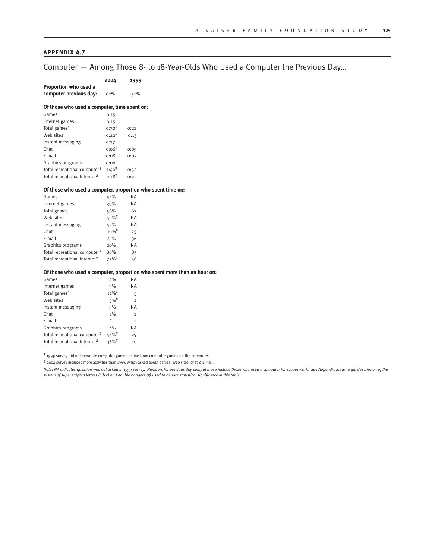Computer — Among Those 8- to 18-Year-Olds Who Used a Computer the Previous Day…

|                        | 2004 | 1999 |
|------------------------|------|------|
| Proportion who used a  |      |      |
| computer previous day: | 62%  | 51%  |

#### **Of those who used a computer, time spent on:**

| Games                                    | 0:15              |      |
|------------------------------------------|-------------------|------|
| Internet games                           | 0:15              |      |
| Total games <sup>1</sup>                 | $0:30^{+}$        | 0:22 |
| Web sites                                | $0:22^{\ddagger}$ | 0:13 |
| Instant messaging                        | 0:27              |      |
| Chat                                     | $0:06^{\ddagger}$ | 0:09 |
| E-mail                                   | 0:08              | 0:07 |
| Graphics programs                        | 0:06              |      |
| Total recreational computer <sup>2</sup> | $1:40^{+}$        | 0:52 |
| Total recreational Internet <sup>2</sup> | $1:18^{4}$        | 0:22 |

#### **Of those who used a computer, proportion who spent time on:**

| Games                                    | 44%                 | ΝA |
|------------------------------------------|---------------------|----|
| Internet games                           | 39%                 | ΝA |
| Total games <sup>1</sup>                 | 56%                 | 62 |
| Web sites                                | $55\%$ <sup>‡</sup> | ΝA |
| Instant messaging                        | 42%                 | ΝA |
| Chat                                     | $16%$ <sup>‡</sup>  | 25 |
| E-mail                                   | 41%                 | 36 |
| Graphics programs                        | 20%                 | ΝA |
| Total recreational computer <sup>2</sup> | 86%                 | 87 |
| Total recreational Internet <sup>2</sup> | $75\%$ <sup>‡</sup> | 48 |
|                                          |                     |    |

#### **Of those who used a computer, proportion who spent more than an hour on:**

| Games                                    | 2%                  | <b>NA</b>      |
|------------------------------------------|---------------------|----------------|
| Internet games                           | 3%                  | ΝA             |
| Total games <sup>1</sup>                 | $12\%$ <sup>‡</sup> | 5              |
| Web sites                                | $5\%$ <sup>‡</sup>  | $\overline{2}$ |
| Instant messaging                        | 9%                  | ΝA             |
| Chat                                     | 2%                  | $\overline{2}$ |
| E-mail                                   | $\star$             | $\mathbf{1}$   |
| Graphics programs                        | $1\%$               | ΝA             |
| Total recreational computer <sup>2</sup> | $44%$ <sup>#</sup>  | 29             |
| Total recreational Internet <sup>2</sup> | $36\%$ <sup>‡</sup> | 10             |

 $^{\text{1}}$  1999 survey did not separate computer games online from computer games on the computer.

 $2$  2004 survey included more activities than 1999, which asked about games, Web sites, chat & E-mail.

Note: NA indicates question was not asked in 1999 survey. Numbers for previous day computer use include those who used a computer for school work. See Appendix 2.1 for a full description of the<br>system of superscripted let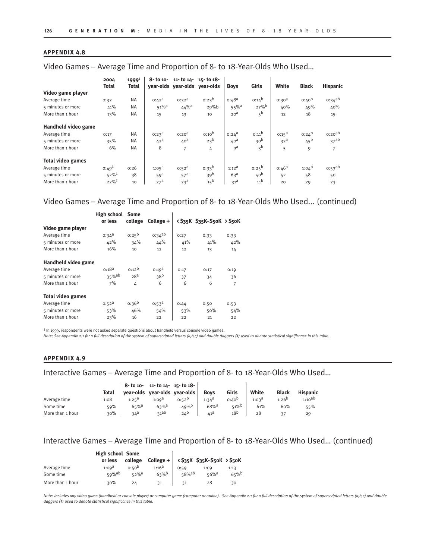|                          | 2004<br><b>Total</b> | 19991<br><b>Total</b> | $8 - 10 - 8$        | 11- to 14- 15- to 18-<br>year-olds year-olds year-olds |                   | <b>Boys</b>         | Girls           | White             | <b>Black</b>    | <b>Hispanic</b>    |
|--------------------------|----------------------|-----------------------|---------------------|--------------------------------------------------------|-------------------|---------------------|-----------------|-------------------|-----------------|--------------------|
| Video game player        |                      |                       |                     |                                                        |                   |                     |                 |                   |                 |                    |
| Average time             | 0:32                 | <b>NA</b>             | $0:42^{\text{a}}$   | $0:32^{a}$                                             | $0:23^{b}$        | $0:48^{a}$          | $0:14^{b}$      | 0:30 <sup>d</sup> | $0:40^{b}$      | $0:34^{ab}$        |
| 5 minutes or more        | 41%                  | <b>NA</b>             | $51\%$ <sup>a</sup> | $44%$ <sup>a</sup>                                     | 29%b              | $55\%$ <sup>a</sup> | 27%             | 40%               | 49%             | 40%                |
| More than 1 hour         | 13%                  | <b>NA</b>             | 15                  | 13                                                     | 10                | 20 <sup>a</sup>     | 5 <sup>b</sup>  | 12                | 18              | 15                 |
| Handheld video game      |                      |                       |                     |                                                        |                   |                     |                 |                   |                 |                    |
| Average time             | 0:17                 | <b>NA</b>             | $0:23^{\text{d}}$   | $0:20^{a}$                                             | 0:10 <sup>b</sup> | $0:24^{a}$          | $0:11^{b}$      | $0:15^{a}$        | $0:24^{b}$      | 0:20 <sup>ab</sup> |
| 5 minutes or more        | 35%                  | <b>NA</b>             | 42 <sup>a</sup>     | 40 <sup>d</sup>                                        | 23 <sup>b</sup>   | 40 <sup>d</sup>     | 30 <sup>b</sup> | 32 <sup>a</sup>   | 45 <sup>b</sup> | 37ab               |
| More than 1 hour         | 6%                   | <b>NA</b>             | 8                   | 7                                                      | 4                 | 9 <sup>a</sup>      | 3 <sup>b</sup>  | 5                 | 9               | $\overline{7}$     |
| <b>Total video games</b> |                      |                       |                     |                                                        |                   |                     |                 |                   |                 |                    |
| Average time             | $0:49^{\ddagger}$    | 0:26                  | 1:05 <sup>d</sup>   | $0:52^{\text{a}}$                                      | $0:33^{b}$        | $1:12^{a}$          | $0:25^{b}$      | $0:46^{a}$        | $1:04^{b}$      | $0:53^{ab}$        |
| 5 minutes or more        | $52\%$ <sup>‡</sup>  | 38                    | 59 <sup>a</sup>     | 57 <sup>a</sup>                                        | 39 <sup>b</sup>   | 63 <sup>a</sup>     | 40 <sup>b</sup> | 52                | 58              | 50                 |
| More than 1 hour         | $22\%$ <sup>‡</sup>  | 10                    | 27 <sup>a</sup>     | 23 <sup>a</sup>                                        | 15 <sup>b</sup>   | 31 <sup>a</sup>     | 11 <sup>b</sup> | 20                | 29              | 23                 |

# Video Games – Average Time and Proportion of 8- to 18-Year-Olds Who Used…

# Video Games – Average Time and Proportion of 8- to 18-Year-Olds Who Used... (continued)

|                     | <b>High school Some</b><br>or less | college           | College +         |      | < \$35K \$35K-\$50K > \$50K |                |
|---------------------|------------------------------------|-------------------|-------------------|------|-----------------------------|----------------|
| Video game player   |                                    |                   |                   |      |                             |                |
| Average time        | $0:34^{a}$                         | $0:25^{b}$        | $0.34^{ab}$       | 0:27 | 0:33                        | 0:33           |
| 5 minutes or more   | 42%                                | 34%               | 44%               | 41%  | 41%                         | 42%            |
| More than 1 hour    | 16%                                | 10                | 12                | 12   | 13                          | 14             |
| Handheld video game |                                    |                   |                   |      |                             |                |
| Average time        | $0:18^{a}$                         | $0:12^{b}$        | $0:19^{a}$        | 0:17 | 0:17                        | 0:19           |
| 5 minutes or more   | 35%ab                              | 28 <sup>a</sup>   | 38 <sup>b</sup>   | 37   | 34                          | 36             |
| More than 1 hour    | 7%                                 | 4                 | 6                 | 6    | 6                           | $\overline{7}$ |
| Total video games   |                                    |                   |                   |      |                             |                |
| Average time        | $0:52^{\text{a}}$                  | 0:36 <sup>b</sup> | $0:53^{\text{a}}$ | 0:44 | 0:50                        | 0:53           |
| 5 minutes or more   | 53%                                | 46%               | 54%               | 53%  | 50%                         | 54%            |
| More than 1 hour    | 23%                                | 16                | 22                | 22   | 21                          | 22             |

<sup>1</sup> In 1999, respondents were not asked separate questions about handheld versus console video games.

*Note: See Appendix 2.1 for a full description of the system of superscripted letters (a,b,c) and double daggers (‡) used to denote statistical significance in this table.*

### **APPENDIX 4.9**

# Interactive Games – Average Time and Proportion of 8- to 18-Year-Olds Who Used…

|                  |              |                    |                    | 8- to 10- 11- to 14- 15- to 18- |                    |                   |                   |              |                 |
|------------------|--------------|--------------------|--------------------|---------------------------------|--------------------|-------------------|-------------------|--------------|-----------------|
|                  | <b>Total</b> |                    |                    | vear-olds vear-olds vear-olds   | <b>Boys</b>        | Girls             | White             | <b>Black</b> | <b>Hispanic</b> |
| Average time     | 1:08         | $1:25^{\text{a}}$  | 1:09 <sup>d</sup>  | $0:52^{b}$                      | $1:34^{d}$         | 0:40 <sup>b</sup> | 1:03 <sup>d</sup> | $1:26^{b}$   | $1:10^{ab}$     |
| Some time        | 59%          | $65%$ <sup>a</sup> | $63%$ <sup>a</sup> | 49%b                            | $68%$ <sup>a</sup> | $51%^{b}$         | 61%               | 60%          | 55%             |
| More than 1 hour | 30%          | $34^a$             | 21ab               | $24^{\text{b}}$                 | $41^a$             | 18 <sup>b</sup>   | 28                |              | 29              |

### Interactive Games – Average Time and Proportion of 8- to 18-Year-Olds Who Used… (continued)

|                  | <b>High school Some</b> |                     |                     |                      |                             |      |
|------------------|-------------------------|---------------------|---------------------|----------------------|-----------------------------|------|
|                  | or less                 | college             | College $+$ $\vert$ |                      | < \$35K \$35K-\$50K > \$50K |      |
| Average time     | 1:00 <sup>d</sup>       | $0:50^{b}$          | $1:16^a$            | 0:59                 | 1:09                        | 1:13 |
| Some time        | $59%$ <sup>ab</sup>     | $52\%$ <sup>a</sup> | $63\%$ <sup>b</sup> | $58\%$ <sup>ab</sup> | $56\%$ <sup>a</sup>         | 65%  |
| More than 1 hour | 30%                     | 24                  | 31                  | 31                   | 28                          | 30   |

*Note: Includes any video game (handheld or console player) or computer game (computer or online). See Appendix 2.1 for a full description of the system of superscripted letters (a,b,c) and double daggers (‡) used to denote statistical significance in this table.*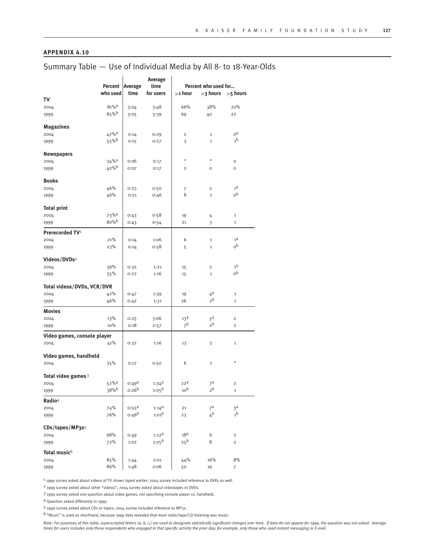# Summary Table — Use of Individual Media by All 8- to 18-Year-Olds

|                             |                     |                   | Average           |                   |                         |                |
|-----------------------------|---------------------|-------------------|-------------------|-------------------|-------------------------|----------------|
|                             | Percent             | Average           | time              |                   | Percent who used for    |                |
|                             | who used            | time              | for users         | >1 hour           | $>3$ hours              | $>5$ hours     |
| TV                          |                     |                   |                   |                   |                         |                |
| 2004                        | 81% <sup>a</sup>    | 3:04              | 3:48              | 66%               | 38%                     | 20%            |
| 1999                        | 85%b                | 3:05              | 3:39              | 69                | 40                      | 22             |
| <b>Magazines</b>            |                     |                   |                   |                   |                         |                |
| 2004                        | 47% <sup>a</sup>    | 0:14              | 0:29              | $\overline{2}$    | $1\,$                   | o <sup>a</sup> |
| 1999                        | 55%b                | 0:15              | 0:27              | 3                 | $\mathbf{1}$            | 1 <sup>b</sup> |
| <b>Newspapers</b>           |                     |                   |                   |                   |                         |                |
| 2004                        | 34% <sup>a</sup>    | 0:06              | 0:17              | $\star$           | $\star$                 | O              |
| 1999                        | 42%b                | 0:07              | 0:17              | $\circ$           | O                       | 0              |
| <b>Books</b>                |                     |                   |                   |                   |                         |                |
| 2004                        | 46%                 | 0:23              | 0:50              | 7                 | $\overline{\mathbf{c}}$ | 1 <sup>d</sup> |
| 1999                        | 46%                 | 0:21              | 0:46              | 8                 | $\mathbf{1}$            | o <sup>b</sup> |
|                             |                     |                   |                   |                   |                         |                |
| <b>Total print</b>          |                     |                   |                   |                   |                         |                |
| 2004                        | 73% <sup>a</sup>    | 0:43              | 0:58              | 19                | 4                       | $\mathbf 1$    |
| 1999                        | $80\%$ b            | 0:43              | 0:54              | 21                | 3                       | $\mathbf{1}$   |
| Prerecorded TV <sup>1</sup> |                     |                   |                   |                   |                         |                |
| 2004                        | 21%                 | 0:14              | 1:06              | 6                 | $\mathbf{1}$            | 1 <sup>d</sup> |
| 1999                        | 23%                 | 0:14              | 0:58              | 5                 | $\mathbf{1}$            | o <sup>b</sup> |
| Videos/DVDs <sup>2</sup>    |                     |                   |                   |                   |                         |                |
| 2004                        | 39%                 | 0:32              | 1:21              | 15                | $\overline{\mathbf{c}}$ | 1 <sup>d</sup> |
| 1999                        | 35%                 | 0:27              | 1:16              | 15                | $\mathbf{1}$            | o <sup>b</sup> |
| Total videos/DVDs, VCR/DVR  |                     |                   |                   |                   |                         |                |
| 2004                        | 42%                 | 0:47              | 1:39              | 19                | $4^a$                   | $\mathbf 1$    |
| 1999                        | 46%                 | 0:42              | 1:31              | 26                | $2^{\mathsf{b}}$        | $\mathbf{1}$   |
| <b>Movies</b>               |                     |                   |                   |                   |                         |                |
| 2004                        | 13%                 | 0:25              | 3:06              | 13 <sup>d</sup>   | $5^{\text{a}}$          | $\overline{c}$ |
| 1999                        | 10%                 | 0:18              | 2:57              | 7 <sup>b</sup>    | $2^{\mathsf{b}}$        | $\overline{2}$ |
| Video games, console player |                     |                   |                   |                   |                         |                |
| 2004                        | 41%                 | 0:32              | 1:16              | 13                | 3                       | $\mathbf{1}$   |
| Video games, handheld       |                     |                   |                   |                   |                         |                |
| 2004                        | 35%                 | 0:17              | 0:50              | 6                 | $\mathbf 1$             | $\star$        |
| Total video games 3         |                     |                   |                   |                   |                         |                |
| 2004                        | $52\%$ <sup>a</sup> | $0:49^{\text{a}}$ | $1:34^{\text{a}}$ | $22^{\mathrm{a}}$ | $7^{\text{a}}$          | 2              |
| 1999                        | 38%b                | $0:26^{b}$        | $1:05^b$          | 10 <sup>b</sup>   | 2 <sup>b</sup>          | $\mathbf 1$    |
| Radio <sup>4</sup>          |                     |                   |                   |                   |                         |                |
| 2004                        | 74%                 | $0:55^{\text{a}}$ | $1:14^{\text{a}}$ | 21                | $7^{\mathsf{a}}$        | za             |
| 1999                        | 76%                 | $0:46^{b}$        | 1:01 <sup>b</sup> | 23                | 4 <sup>b</sup>          | 1 <sup>b</sup> |
|                             |                     |                   |                   |                   |                         |                |
| CDs/tapes/MP3s5<br>2004     | 68%                 | 0:49              | $1:12^{a}$        | 18 <sup>a</sup>   | 6                       | $\overline{c}$ |
| 1999                        | 72%                 | 1:02              | $1:25^{b}$        | 25 <sup>b</sup>   | 8                       | $\overline{c}$ |
|                             |                     |                   |                   |                   |                         |                |
| Total music <sup>6</sup>    |                     |                   |                   |                   |                         |                |
| 2004                        | 85%                 | 1:44              | 2:01              | 44%               | 16%                     | 8%             |
| 1999                        | 86%                 | 1:48              | 2:06              | 50                | 19                      | $\overline{7}$ |

1 1999 survey asked about videos of TV shows taped earlier; 2004 survey included reference to DVRs as well.

 $^2$  1999 survey asked about other "videos"; 2004 survey asked about videotapes or DVDs.

3 1999 survey asked one question about video games, not specifying console player vs. handheld.

4 Question asked differently in 1999.

5 1999 survey asked about CDs or tapes; 2004 survey included reference to MP3s.

6 "Music" is used as shorthand, because 1999 data revealed that most radio/tape/CD listening was music.

Note: For purposes of this table, superscripted letters (a, b, c,) are used to designate statistically significant changes over time. If data do not appear for 1999, the question was not asked. Average *times for users includes only those respondents who engaged in that specific activity the prior day; for example, only those who used instant messaging or E-mail.*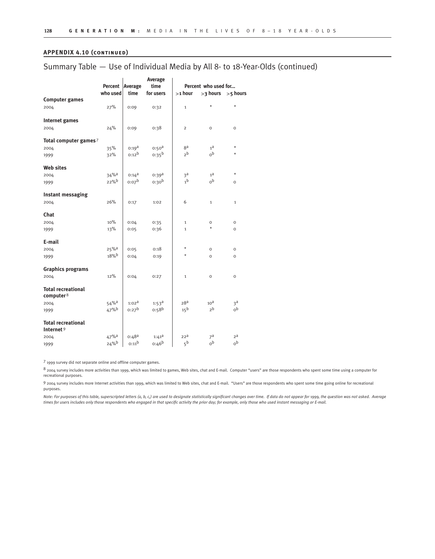### **APPENDIX 4.10 (continued)**

Summary Table — Use of Individual Media by All 8- to 18-Year-Olds (continued)

|                                           |                     | Average           |                   |                 |                      |                     |  |  |
|-------------------------------------------|---------------------|-------------------|-------------------|-----------------|----------------------|---------------------|--|--|
|                                           | Percent Average     |                   | time              |                 | Percent who used for |                     |  |  |
|                                           | who used            | time              | for users         | $>1$ hour       | $>3$ hours           | $>5$ hours          |  |  |
| <b>Computer games</b>                     |                     |                   |                   |                 |                      |                     |  |  |
| 2004                                      | 27%                 | 0:09              | 0:32              | $\mathbf{1}$    | $\star$              | $\star$             |  |  |
| Internet games                            |                     |                   |                   |                 |                      |                     |  |  |
| 2004                                      | 24%                 | 0:09              | 0:38              | $\overline{2}$  | $\circ$              | $\circ$             |  |  |
| Total computer games 7                    |                     |                   |                   |                 |                      |                     |  |  |
| 2004                                      | 35%                 | $0:19^{a}$        | $0:50^{a}$        | ga              | 1 <sup>a</sup>       | $^\star$            |  |  |
| 1999                                      | 32%                 | $0:12^{b}$        | $0:35^{b}$        | 2 <sup>b</sup>  | $_0$ <sub>b</sub>    | $\star$             |  |  |
| <b>Web sites</b>                          |                     |                   |                   |                 |                      |                     |  |  |
| 2004                                      | $34%$ <sup>a</sup>  | $0:14^{d}$        | $0:39^{a}$        | 3 <sup>a</sup>  | 1 <sup>d</sup>       | $\star$             |  |  |
| 1999                                      | 22%                 | 0:07 <sup>b</sup> | 0:30 <sup>b</sup> | 1 <sub>b</sub>  | o <sup>b</sup>       | $\circ$             |  |  |
| Instant messaging                         |                     |                   |                   |                 |                      |                     |  |  |
| 2004                                      | 26%                 | 0:17              | 1:02              | 6               | $1\,$                | $\mathbf 1$         |  |  |
| Chat                                      |                     |                   |                   |                 |                      |                     |  |  |
| 2004                                      | 10%                 | 0:04              | 0:35              | $\mathbf{1}$    | $\mathsf{o}$         | $\mathsf{o}\xspace$ |  |  |
| 1999                                      | 13%                 | 0:05              | 0:36              | $\mathbf{1}$    | $\star$              | $\circ$             |  |  |
| E-mail                                    |                     |                   |                   |                 |                      |                     |  |  |
| 2004                                      | $25%$ <sup>a</sup>  | 0:05              | 0:18              | *               | $\circ$              | O                   |  |  |
| 1999                                      | 18%b                | 0:04              | 0:19              | $\star$         | $\circ$              | $\circ$             |  |  |
| <b>Graphics programs</b>                  |                     |                   |                   |                 |                      |                     |  |  |
| 2004                                      | 12%                 | 0:04              | 0:27              | $\mathbf{1}$    | $\circ$              | $\circ$             |  |  |
| <b>Total recreational</b><br>computer $8$ |                     |                   |                   |                 |                      |                     |  |  |
| 2004                                      | $54\%$ <sup>a</sup> | 1:02 <sup>a</sup> | $1:53^{\text{a}}$ | 28 <sup>a</sup> | 10 <sup>d</sup>      | 3 <sup>a</sup>      |  |  |
| 1999                                      | 47%b                | $0:27^{b}$        | $0:58^{b}$        | 15 <sup>b</sup> | 2 <sup>b</sup>       | o <sup>b</sup>      |  |  |
| <b>Total recreational</b>                 |                     |                   |                   |                 |                      |                     |  |  |
| Internet <sup>9</sup>                     |                     |                   |                   |                 |                      |                     |  |  |
| 2004                                      | $47\%$ <sup>a</sup> | $0:48^{a}$        | $1:41^{\text{a}}$ | 22 <sup>a</sup> | $7^{\mathsf{a}}$     | $2^{\mathsf{a}}$    |  |  |
| 1999                                      | 24%                 | $0:11^{b}$        | $0:46^{b}$        | 5 <sup>b</sup>  | o <sup>b</sup>       | o <sub>b</sub>      |  |  |

7 1999 survey did not separate online and offline computer games.

8 2004 survey includes more activities than 1999, which was limited to games, Web sites, chat and E-mail. Computer "users" are those respondents who spent some time using a computer for recreational purposes.

9 2004 survey includes more Internet activities than 1999, which was limited to Web sites, chat and E-mail. "Users" are those respondents who spent some time going online for recreational purposes.

Note: For purposes of this table, superscripted letters (a, b, c,) are used to designate statistically significant changes over time. If data do not appear for 1999, the question was not asked. Average *times for users includes only those respondents who engaged in that specific activity the prior day; for example, only those who used instant messaging or E-mail.*